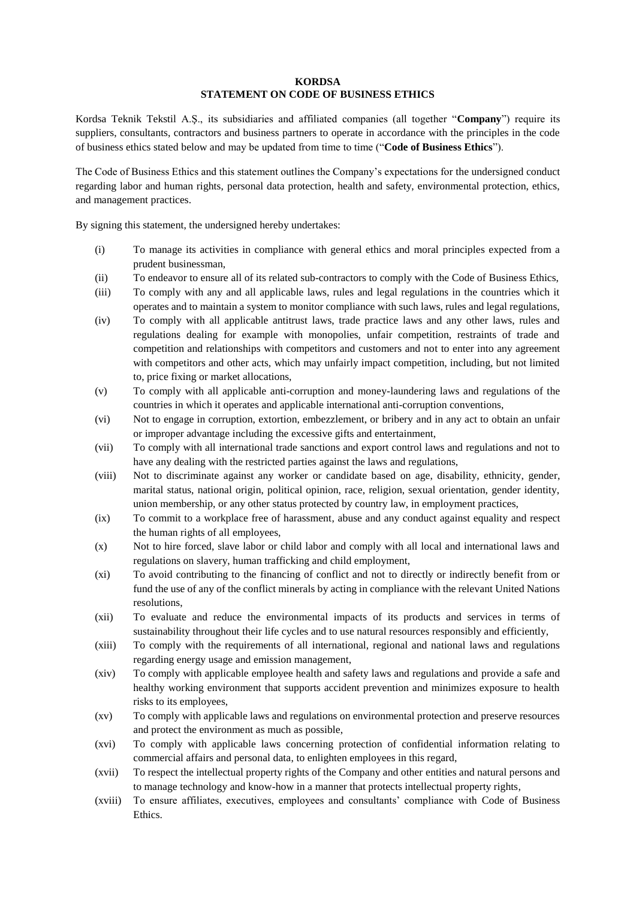## **KORDSA STATEMENT ON CODE OF BUSINESS ETHICS**

Kordsa Teknik Tekstil A.Ş., its subsidiaries and affiliated companies (all together "**Company**") require its suppliers, consultants, contractors and business partners to operate in accordance with the principles in the code of business ethics stated below and may be updated from time to time ("**Code of Business Ethics**").

The Code of Business Ethics and this statement outlines the Company's expectations for the undersigned conduct regarding labor and human rights, personal data protection, health and safety, environmental protection, ethics, and management practices.

By signing this statement, the undersigned hereby undertakes:

- (i) To manage its activities in compliance with general ethics and moral principles expected from a prudent businessman,
- (ii) To endeavor to ensure all of its related sub-contractors to comply with the Code of Business Ethics,
- (iii) To comply with any and all applicable laws, rules and legal regulations in the countries which it operates and to maintain a system to monitor compliance with such laws, rules and legal regulations,
- (iv) To comply with all applicable antitrust laws, trade practice laws and any other laws, rules and regulations dealing for example with monopolies, unfair competition, restraints of trade and competition and relationships with competitors and customers and not to enter into any agreement with competitors and other acts, which may unfairly impact competition, including, but not limited to, price fixing or market allocations,
- (v) To comply with all applicable anti-corruption and money-laundering laws and regulations of the countries in which it operates and applicable international anti-corruption conventions,
- (vi) Not to engage in corruption, extortion, embezzlement, or bribery and in any act to obtain an unfair or improper advantage including the excessive gifts and entertainment,
- (vii) To comply with all international trade sanctions and export control laws and regulations and not to have any dealing with the restricted parties against the laws and regulations,
- (viii) Not to discriminate against any worker or candidate based on age, disability, ethnicity, gender, marital status, national origin, political opinion, race, religion, sexual orientation, gender identity, union membership, or any other status protected by country law, in employment practices,
- (ix) To commit to a workplace free of harassment, abuse and any conduct against equality and respect the human rights of all employees,
- (x) Not to hire forced, slave labor or child labor and comply with all local and international laws and regulations on slavery, human trafficking and child employment,
- (xi) To avoid contributing to the financing of conflict and not to directly or indirectly benefit from or fund the use of any of the conflict minerals by acting in compliance with the relevant United Nations resolutions,
- (xii) To evaluate and reduce the environmental impacts of its products and services in terms of sustainability throughout their life cycles and to use natural resources responsibly and efficiently,
- (xiii) To comply with the requirements of all international, regional and national laws and regulations regarding energy usage and emission management,
- (xiv) To comply with applicable employee health and safety laws and regulations and provide a safe and healthy working environment that supports accident prevention and minimizes exposure to health risks to its employees,
- (xv) To comply with applicable laws and regulations on environmental protection and preserve resources and protect the environment as much as possible,
- (xvi) To comply with applicable laws concerning protection of confidential information relating to commercial affairs and personal data, to enlighten employees in this regard,
- (xvii) To respect the intellectual property rights of the Company and other entities and natural persons and to manage technology and know-how in a manner that protects intellectual property rights,
- (xviii) To ensure affiliates, executives, employees and consultants' compliance with Code of Business Ethics.